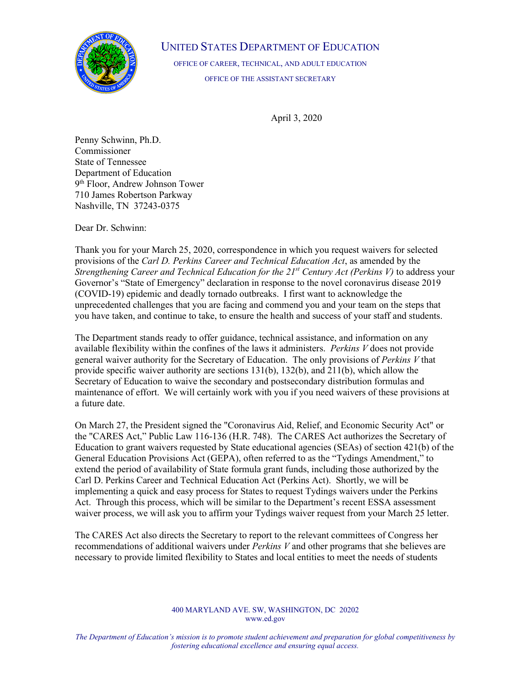

## UNITED STATES DEPARTMENT OF EDUCATION

OFFICE OF CAREER, TECHNICAL, AND ADULT EDUCATION OFFICE OF THE ASSISTANT SECRETARY

April 3, 2020

Penny Schwinn, Ph.D. Commissioner State of Tennessee Department of Education 9th Floor, Andrew Johnson Tower 710 James Robertson Parkway Nashville, TN 37243-0375

Dear Dr. Schwinn:

Thank you for your March 25, 2020, correspondence in which you request waivers for selected provisions of the *Carl D. Perkins Career and Technical Education Act*, as amended by the *Strengthening Career and Technical Education for the 21st Century Act (Perkins V)* to address your Governor's "State of Emergency" declaration in response to the novel coronavirus disease 2019 (COVID-19) epidemic and deadly tornado outbreaks. I first want to acknowledge the unprecedented challenges that you are facing and commend you and your team on the steps that you have taken, and continue to take, to ensure the health and success of your staff and students.

The Department stands ready to offer guidance, technical assistance, and information on any available flexibility within the confines of the laws it administers. *Perkins V* does not provide general waiver authority for the Secretary of Education. The only provisions of *Perkins V* that provide specific waiver authority are sections 131(b), 132(b), and 211(b), which allow the Secretary of Education to waive the secondary and postsecondary distribution formulas and maintenance of effort. We will certainly work with you if you need waivers of these provisions at a future date.

On March 27, the President signed the "Coronavirus Aid, Relief, and Economic Security Act" or the "CARES Act," Public Law 116-136 (H.R. 748). The CARES Act authorizes the Secretary of Education to grant waivers requested by State educational agencies (SEAs) of section 421(b) of the General Education Provisions Act (GEPA), often referred to as the "Tydings Amendment," to extend the period of availability of State formula grant funds, including those authorized by the Carl D. Perkins Career and Technical Education Act (Perkins Act). Shortly, we will be implementing a quick and easy process for States to request Tydings waivers under the Perkins Act. Through this process, which will be similar to the Department's recent ESSA assessment waiver process, we will ask you to affirm your Tydings waiver request from your March 25 letter.

The CARES Act also directs the Secretary to report to the relevant committees of Congress her recommendations of additional waivers under *Perkins V* and other programs that she believes are necessary to provide limited flexibility to States and local entities to meet the needs of students

## 400 MARYLAND AVE. SW, WASHINGTON, DC 20202 [www.ed.gov](http://www.ed.gov/)

*The Department of Education's mission is to promote student achievement and preparation for global competitiveness by fostering educational excellence and ensuring equal access.*